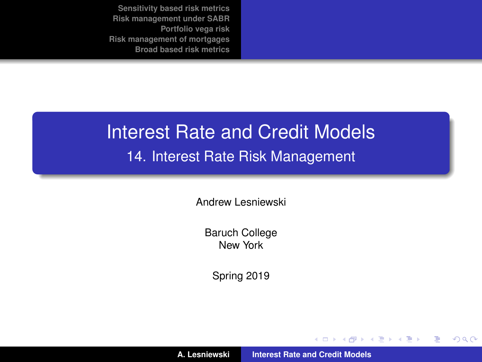## <span id="page-0-0"></span>Interest Rate and Credit Models 14. Interest Rate Risk Management

Andrew Lesniewski

Baruch College New York

Spring 2019

**A. Lesniewski [Interest Rate and Credit Models](#page-56-0)**

(ロトス個) (運) (運)

 $299$ 

É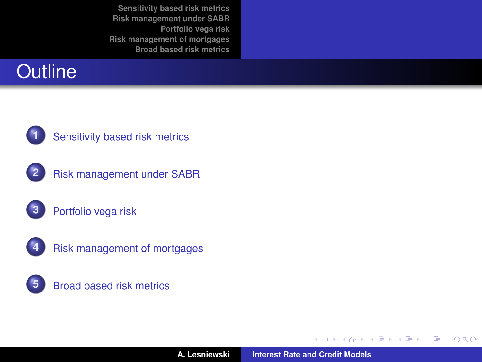#### **Outline**



#### **1** [Sensitivity based risk metrics](#page-6-0)









(ロトス個) (運) (運)

 $299$ 

重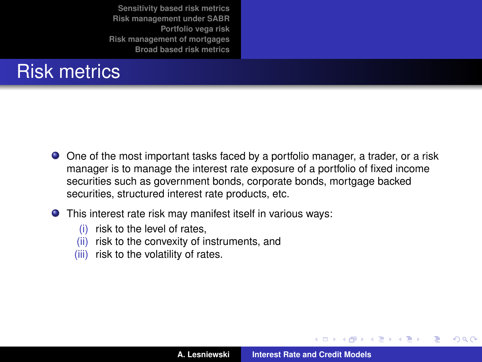#### Risk metrics

- One of the most important tasks faced by a portfolio manager, a trader, or a risk manager is to manage the interest rate exposure of a portfolio of fixed income securities such as government bonds, corporate bonds, mortgage backed securities, structured interest rate products, etc.
- This interest rate risk may manifest itself in various ways:
	- (i) risk to the level of rates,
	- (ii) risk to the convexity of instruments, and
	- (iii) risk to the volatility of rates.

(ロトス個) (運) (運)

 $299$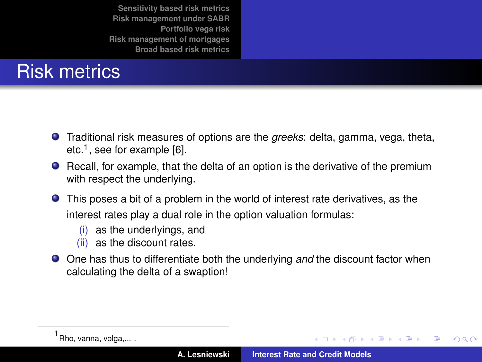# Risk metrics

- Traditional risk measures of options are the *greeks*: delta, gamma, vega, theta, etc.<sup>1</sup>, see for example [\[6\]](#page-56-1).
- Recall, for example, that the delta of an option is the derivative of the premium with respect the underlying.
- This poses a bit of a problem in the world of interest rate derivatives, as the interest rates play a dual role in the option valuation formulas:
	- (i) as the underlyings, and
	- (ii) as the discount rates.
- One has thus to differentiate both the underlying *and* the discount factor when calculating the delta of a swaption!

(ロトス個) (運) (運)

 $299$ 

<sup>1</sup> Rho, vanna, volga,... .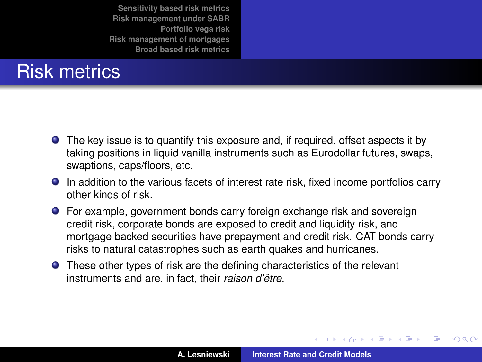#### Risk metrics

- The key issue is to quantify this exposure and, if required, offset aspects it by taking positions in liquid vanilla instruments such as Eurodollar futures, swaps, swaptions, caps/floors, etc.
- In addition to the various facets of interest rate risk, fixed income portfolios carry other kinds of risk.
- For example, government bonds carry foreign exchange risk and sovereign credit risk, corporate bonds are exposed to credit and liquidity risk, and mortgage backed securities have prepayment and credit risk. CAT bonds carry risks to natural catastrophes such as earth quakes and hurricanes.
- **•** These other types of risk are the defining characteristics of the relevant instruments and are, in fact, their *raison d'être*.

(ロトス個) (運) (運)

 $299$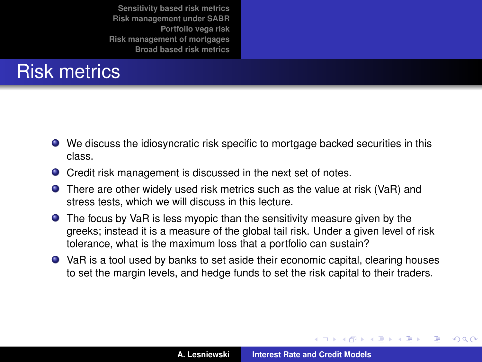#### Risk metrics

- We discuss the idiosyncratic risk specific to mortgage backed securities in this class.
- Credit risk management is discussed in the next set of notes.
- There are other widely used risk metrics such as the value at risk (VaR) and stress tests, which we will discuss in this lecture.
- **•** The focus by VaR is less myopic than the sensitivity measure given by the greeks; instead it is a measure of the global tail risk. Under a given level of risk tolerance, what is the maximum loss that a portfolio can sustain?
- VaR is a tool used by banks to set aside their economic capital, clearing houses to set the margin levels, and hedge funds to set the risk capital to their traders.

(ロトス個) (運) (運)

 $299$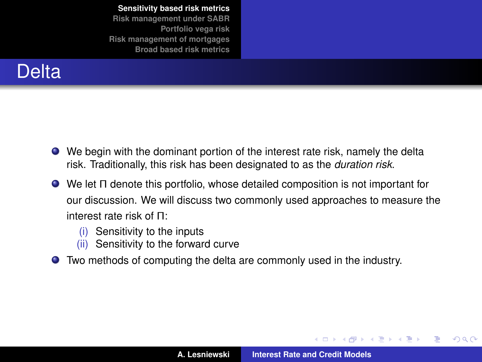<span id="page-6-0"></span>

- We begin with the dominant portion of the interest rate risk, namely the delta risk. Traditionally, this risk has been designated to as the *duration risk*.
- We let Π denote this portfolio, whose detailed composition is not important for our discussion. We will discuss two commonly used approaches to measure the interest rate risk of Π:
	- (i) Sensitivity to the inputs
	- (ii) Sensitivity to the forward curve
- Two methods of computing the delta are commonly used in the industry.

イロメ イ部メ イヨメ イヨメ

 $299$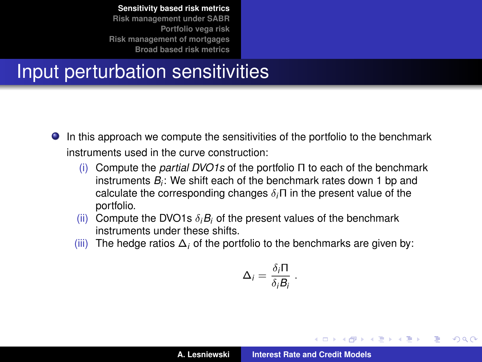## Input perturbation sensitivities

- In this approach we compute the sensitivities of the portfolio to the benchmark  $\bullet$ instruments used in the curve construction:
	- (i) Compute the *partial DVO1s* of the portfolio Π to each of the benchmark instruments *B<sup>i</sup>* : We shift each of the benchmark rates down 1 bp and calculate the corresponding changes δ*i*Π in the present value of the portfolio.
	- (ii) Compute the DVO1s  $\delta_i B_i$  of the present values of the benchmark instruments under these shifts.
	- (iii) The hedge ratios ∆*<sup>i</sup>* of the portfolio to the benchmarks are given by:

$$
\Delta_i = \frac{\delta_i \Pi}{\delta_i B_i} \ .
$$

イロメ イ部メ イ君メ イ君メー

Þ

 $QQ$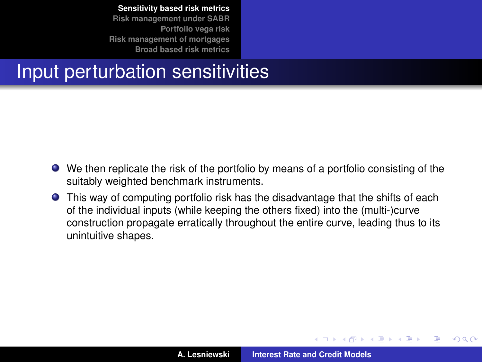# Input perturbation sensitivities

- We then replicate the risk of the portfolio by means of a portfolio consisting of the suitably weighted benchmark instruments.
- This way of computing portfolio risk has the disadvantage that the shifts of each of the individual inputs (while keeping the others fixed) into the (multi-)curve construction propagate erratically throughout the entire curve, leading thus to its unintuitive shapes.

(ロトス個) (運) (運)

 $QQ$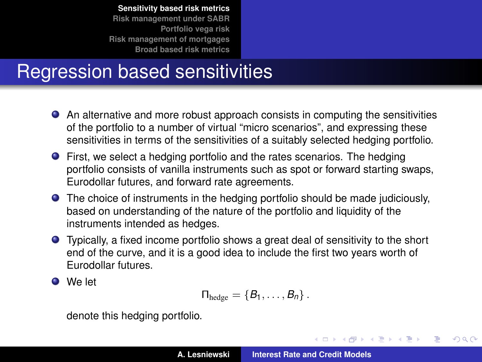# Regression based sensitivities

- An alternative and more robust approach consists in computing the sensitivities of the portfolio to a number of virtual "micro scenarios", and expressing these sensitivities in terms of the sensitivities of a suitably selected hedging portfolio.
- First, we select a hedging portfolio and the rates scenarios. The hedging portfolio consists of vanilla instruments such as spot or forward starting swaps, Eurodollar futures, and forward rate agreements.
- The choice of instruments in the hedging portfolio should be made judiciously, based on understanding of the nature of the portfolio and liquidity of the instruments intended as hedges.
- Typically, a fixed income portfolio shows a great deal of sensitivity to the short end of the curve, and it is a good idea to include the first two years worth of Eurodollar futures.

We let

$$
\Pi_{\text{hedge}} = \left\{ B_1, \ldots, B_n \right\}.
$$

denote this hedging portfolio.

(ロトス個) (運) (運)

 $QQ$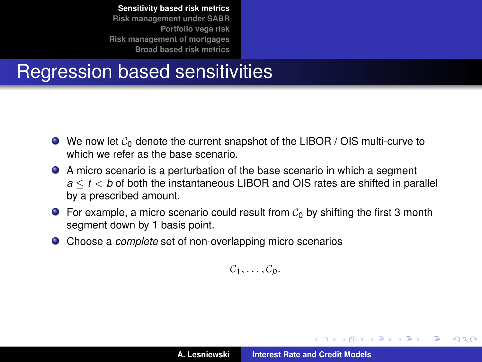## Regression based sensitivities

- $\bullet$  We now let  $\mathcal{C}_0$  denote the current snapshot of the LIBOR / OIS multi-curve to which we refer as the base scenario.
- A micro scenario is a perturbation of the base scenario in which a segment *a* ≤ *t* < *b* of both the instantaneous LIBOR and OIS rates are shifted in parallel by a prescribed amount.
- **•** For example, a micro scenario could result from  $C_0$  by shifting the first 3 month segment down by 1 basis point.
- $\bullet$ Choose a *complete* set of non-overlapping micro scenarios

C1, . . . , C*p*.

イロメ イ団メ イヨメ イヨメー

 $QQ$ 

B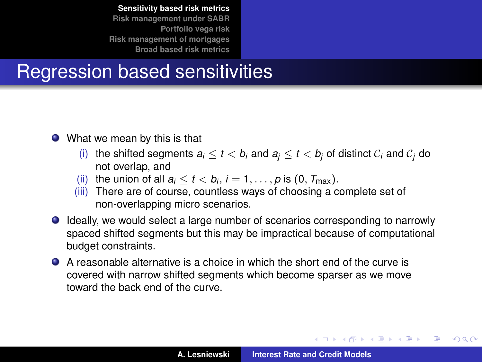# Regression based sensitivities

- What we mean by this is that
	- (i) the shifted segments  $a_i \le t < b_i$  and  $a_i \le t < b_j$  of distinct  $c_i$  and  $c_j$  do not overlap, and
	- (ii) the union of all  $a_i \le t < b_i$ ,  $i = 1, \ldots, p$  is  $(0, T_{\text{max}})$ .
	- (iii) There are of course, countless ways of choosing a complete set of non-overlapping micro scenarios.
- Ideally, we would select a large number of scenarios corresponding to narrowly spaced shifted segments but this may be impractical because of computational budget constraints.
- A reasonable alternative is a choice in which the short end of the curve is covered with narrow shifted segments which become sparser as we move toward the back end of the curve.

イロメ イ部メ イヨメ イヨメー

Þ

 $298$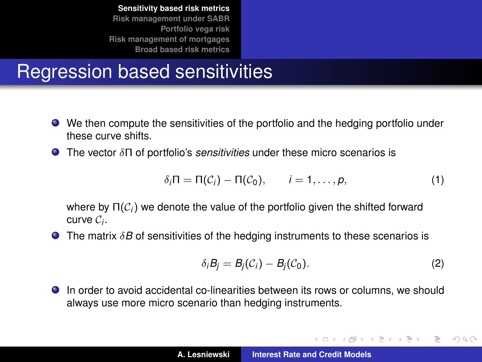## Regression based sensitivities

- We then compute the sensitivities of the portfolio and the hedging portfolio under these curve shifts.
- The vector δΠ of portfolio's *sensitivities* under these micro scenarios is

$$
\delta_i \Pi = \Pi(\mathcal{C}_i) - \Pi(\mathcal{C}_0), \qquad i = 1, \ldots, p, \tag{1}
$$

where by  $\Pi(\mathcal{C}_i)$  we denote the value of the portfolio given the shifted forward curve C*<sup>i</sup>* .

**The matrix**  $\delta B$  **of sensitivities of the hedging instruments to these scenarios is** 

$$
\delta_i B_j = B_j(\mathcal{C}_i) - B_j(\mathcal{C}_0). \tag{2}
$$

イロメ イ部メ イヨメ イヨメー

 $299$ 

重

In order to avoid accidental co-linearities between its rows or columns, we should always use more micro scenario than hedging instruments.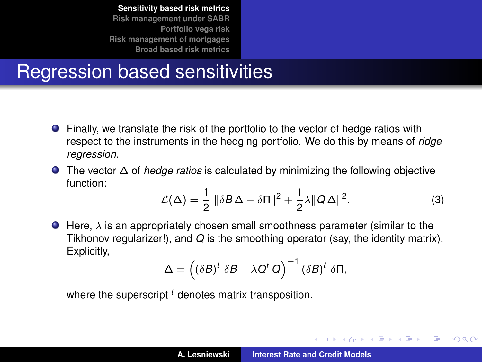## Regression based sensitivities

- Finally, we translate the risk of the portfolio to the vector of hedge ratios with respect to the instruments in the hedging portfolio. We do this by means of *ridge regression*.
- The vector ∆ of *hedge ratios* is calculated by minimizing the following objective function:

$$
\mathcal{L}(\Delta) = \frac{1}{2} \|\delta B \Delta - \delta \Pi\|^2 + \frac{1}{2} \lambda \|Q \Delta\|^2. \tag{3}
$$

イロメ イ部メ イ君メ イ君メー

 $QQ$ 

 $\bullet$  Here,  $\lambda$  is an appropriately chosen small smoothness parameter (similar to the Tikhonov regularizer!), and *Q* is the smoothing operator (say, the identity matrix). Explicitly,

$$
\Delta = \left( (\delta B)^t \ \delta B + \lambda Q^t \ Q \right)^{-1} (\delta B)^t \ \delta \Pi,
$$

where the superscript <sup>t</sup> denotes matrix transposition.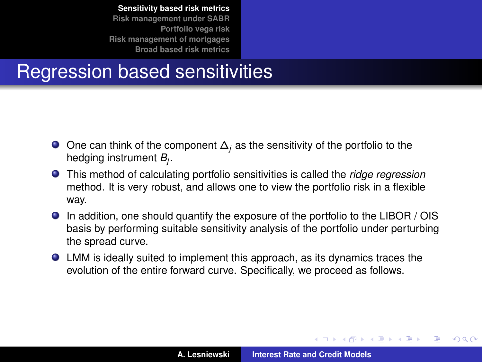## Regression based sensitivities

- One can think of the component ∆*<sup>j</sup>* as the sensitivity of the portfolio to the hedging instrument *B<sup>j</sup>* .
- This method of calculating portfolio sensitivities is called the *ridge regression* method. It is very robust, and allows one to view the portfolio risk in a flexible way.
- In addition, one should quantify the exposure of the portfolio to the LIBOR / OIS basis by performing suitable sensitivity analysis of the portfolio under perturbing the spread curve.
- LMM is ideally suited to implement this approach, as its dynamics traces the evolution of the entire forward curve. Specifically, we proceed as follows.

(ロトス個) (運) (運)

 $QQ$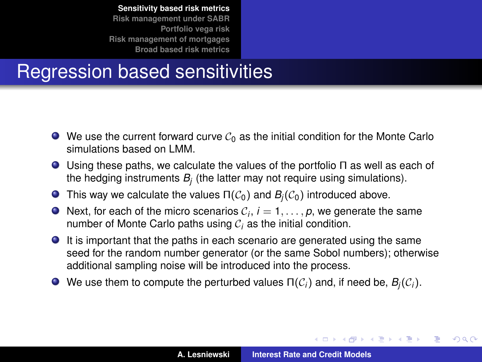## Regression based sensitivities

- $\bullet$  We use the current forward curve  $\mathcal{C}_0$  as the initial condition for the Monte Carlo simulations based on LMM.
- Using these paths, we calculate the values of the portfolio Π as well as each of the hedging instruments *B<sup>j</sup>* (the latter may not require using simulations).
- **This way we calculate the values**  $\Pi(\mathcal{C}_0)$  **and**  $B_i(\mathcal{C}_0)$  **introduced above.**
- Next, for each of the micro scenarios  $\mathcal{C}_i$ ,  $i=1,\ldots,p$ , we generate the same number of Monte Carlo paths using C*<sup>i</sup>* as the initial condition.
- It is important that the paths in each scenario are generated using the same seed for the random number generator (or the same Sobol numbers); otherwise additional sampling noise will be introduced into the process.
- $\bullet$  We use them to compute the perturbed values  $\Pi(C_i)$  and, if need be,  $B_i(C_i)$ .

イロメ イ部メ イヨメ イヨメー

Þ

 $298$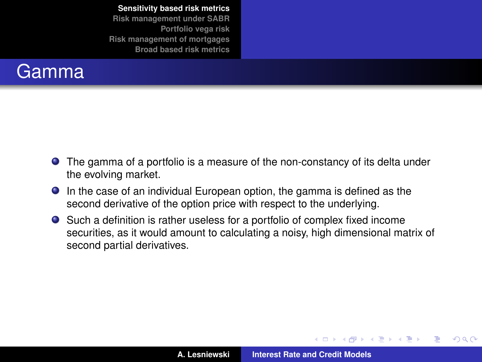#### **Gamma**

- The gamma of a portfolio is a measure of the non-constancy of its delta under the evolving market.
- In the case of an individual European option, the gamma is defined as the second derivative of the option price with respect to the underlying.
- Such a definition is rather useless for a portfolio of complex fixed income securities, as it would amount to calculating a noisy, high dimensional matrix of second partial derivatives.

(ロトス個) (運) (運)

 $299$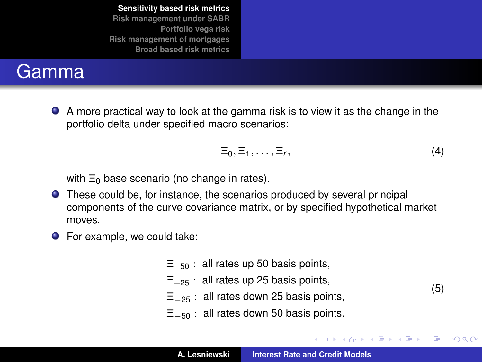#### Gamma

A more practical way to look at the gamma risk is to view it as the change in the portfolio delta under specified macro scenarios:

$$
\Xi_0, \Xi_1, \ldots, \Xi_r, \qquad (4)
$$

イロメ イ部メ イ君メ イ君メー

(5)

重

 $299$ 

with  $\Xi_0$  base scenario (no change in rates).

- These could be, for instance, the scenarios produced by several principal components of the curve covariance matrix, or by specified hypothetical market moves.
- For example, we could take:
	- $\Xi_{+50}$ : all rates up 50 basis points,  $\Xi_{+25}$ : all rates up 25 basis points,  $\Xi_{-25}$ : all rates down 25 basis points,
	-
	- $\Xi_{-50}$ : all rates down 50 basis points.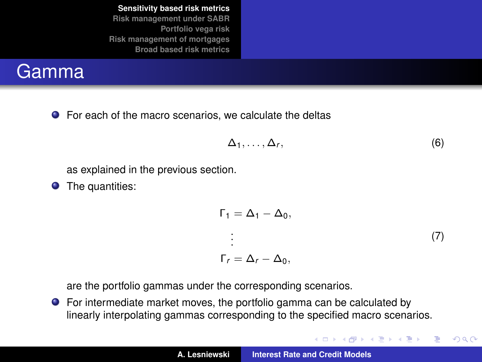#### **Gamma**

**•** For each of the macro scenarios, we calculate the deltas

$$
\Delta_1,\ldots,\Delta_r,\tag{6}
$$

(ロトス個) (運) (運)

 $299$ 

重

as explained in the previous section.

**O** The quantities:

$$
\Gamma_1 = \Delta_1 - \Delta_0,
$$
  
\n
$$
\vdots
$$
  
\n
$$
\Gamma_r = \Delta_r - \Delta_0,
$$
\n(7)

are the portfolio gammas under the corresponding scenarios.

For intermediate market moves, the portfolio gamma can be calculated by linearly interpolating gammas corresponding to the specified macro scenarios.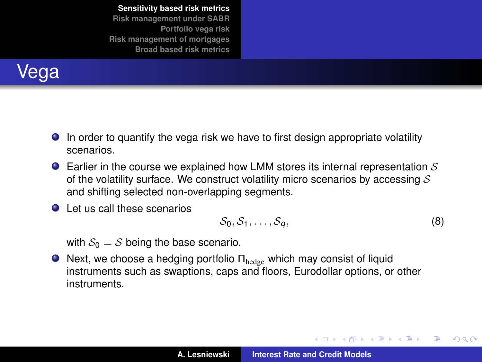

- In order to quantify the vega risk we have to first design appropriate volatility scenarios.
- **Earlier in the course we explained how LMM stores its internal representation S** of the volatility surface. We construct volatility micro scenarios by accessing  $S$ and shifting selected non-overlapping segments.
- Let us call these scenarios

<span id="page-19-0"></span>
$$
S_0, S_1, \ldots, S_q, \qquad (8)
$$

イロメ イ部メ イヨメ イヨメー

 $299$ ÷.

with  $S_0 = S$  being the base scenario.

 $\bullet$  Next, we choose a hedging portfolio  $\Pi_{\text{hedge}}$  which may consist of liquid instruments such as swaptions, caps and floors, Eurodollar options, or other instruments.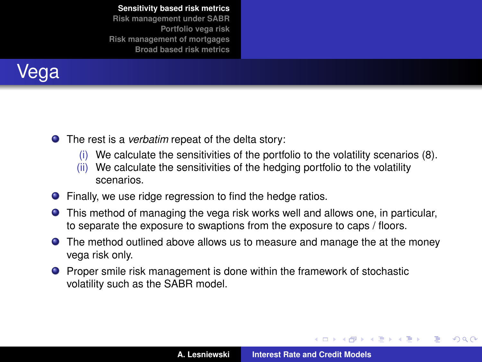<span id="page-20-0"></span>

- The rest is a *verbatim* repeat of the delta story:
	- (i) We calculate the sensitivities of the portfolio to the volatility scenarios [\(8\)](#page-19-0).
	- (ii) We calculate the sensitivities of the hedging portfolio to the volatility scenarios.
- **•** Finally, we use ridge regression to find the hedge ratios.
- This method of managing the vega risk works well and allows one, in particular, to separate the exposure to swaptions from the exposure to caps / floors.
- **The method outlined above allows us to measure and manage the at the money** vega risk only.
- **•** Proper smile risk management is done within the framework of stochastic volatility such as the SABR model.

K ロ ▶ K 御 ▶ K 唐 ▶ K 唐 ▶ .

 $299$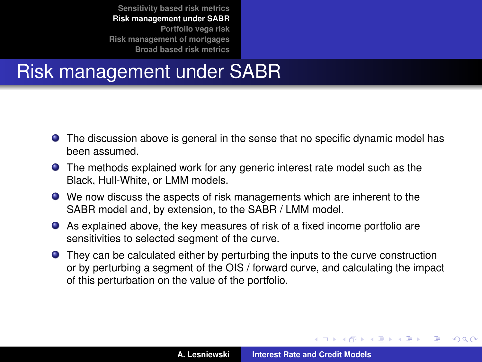## <span id="page-21-0"></span>Risk management under SABR

- The discussion above is general in the sense that no specific dynamic model has been assumed.
- **•** The methods explained work for any generic interest rate model such as the Black, Hull-White, or LMM models.
- We now discuss the aspects of risk managements which are inherent to the SABR model and, by extension, to the SABR / LMM model.
- As explained above, the key measures of risk of a fixed income portfolio are sensitivities to selected segment of the curve.
- **•** They can be calculated either by perturbing the inputs to the curve construction or by perturbing a segment of the OIS / forward curve, and calculating the impact of this perturbation on the value of the portfolio.

(ロトス個) (運) (運)

 $QQ$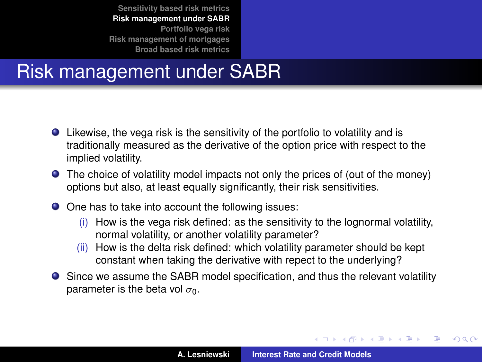## Risk management under SABR

- Likewise, the vega risk is the sensitivity of the portfolio to volatility and is traditionally measured as the derivative of the option price with respect to the implied volatility.
- The choice of volatility model impacts not only the prices of (out of the money) options but also, at least equally significantly, their risk sensitivities.
- One has to take into account the following issues:
	- (i) How is the vega risk defined: as the sensitivity to the lognormal volatility, normal volatility, or another volatility parameter?
	- (ii) How is the delta risk defined: which volatility parameter should be kept constant when taking the derivative with repect to the underlying?
- Since we assume the SABR model specification, and thus the relevant volatility parameter is the beta vol  $\sigma_0$ .

イロメ イ部メ イ君メ イ君メー

 $299$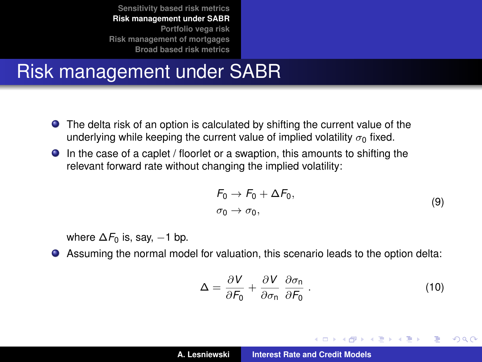## Risk management under SABR

- The delta risk of an option is calculated by shifting the current value of the underlying while keeping the current value of implied volatility  $\sigma_0$  fixed.
- In the case of a caplet / floorlet or a swaption, this amounts to shifting the relevant forward rate without changing the implied volatility:

<span id="page-23-0"></span>
$$
F_0 \to F_0 + \Delta F_0, \n\sigma_0 \to \sigma_0,
$$
\n(9)

where  $\Delta F_0$  is, say,  $-1$  bp.

Assuming the normal model for valuation, this scenario leads to the option delta:

$$
\Delta = \frac{\partial V}{\partial F_0} + \frac{\partial V}{\partial \sigma_n} \frac{\partial \sigma_n}{\partial F_0} \,. \tag{10}
$$

イロメ イ部メ イ君メ イ君メー

Þ  $2Q$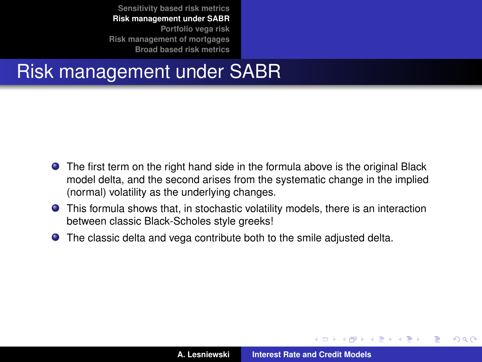#### Risk management under SABR

- The first term on the right hand side in the formula above is the original Black model delta, and the second arises from the systematic change in the implied (normal) volatility as the underlying changes.
- This formula shows that, in stochastic volatility models, there is an interaction between classic Black-Scholes style greeks!
- The classic delta and vega contribute both to the smile adjusted delta.

(ロトス個) (運) (運)

Þ

 $298$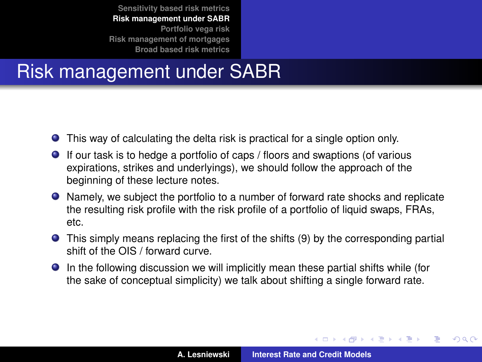## Risk management under SABR

- This way of calculating the delta risk is practical for a single option only.
- If our task is to hedge a portfolio of caps / floors and swaptions (of various expirations, strikes and underlyings), we should follow the approach of the beginning of these lecture notes.
- Namely, we subject the portfolio to a number of forward rate shocks and replicate the resulting risk profile with the risk profile of a portfolio of liquid swaps, FRAs, etc.
- This simply means replacing the first of the shifts [\(9\)](#page-23-0) by the corresponding partial shift of the OIS / forward curve.
- In the following discussion we will implicitly mean these partial shifts while (for the sake of conceptual simplicity) we talk about shifting a single forward rate.

(ロトス個) (運) (運)

 $299$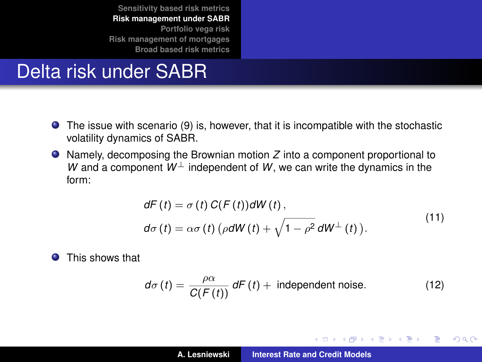## Delta risk under SABR

- The issue with scenario [\(9\)](#page-23-0) is, however, that it is incompatible with the stochastic volatility dynamics of SABR.
- Namely, decomposing the Brownian motion *Z* into a component proportional to *W* and a component  $W^{\perp}$  independent of *W*, we can write the dynamics in the form:

$$
dF(t) = \sigma(t) C(F(t))dW(t),
$$
  
\n
$$
d\sigma(t) = \alpha \sigma(t) (\rho dW(t) + \sqrt{1 - \rho^2} dW^{\perp}(t)).
$$
\n(11)

**O** This shows that

$$
d\sigma(t) = \frac{\rho\alpha}{C(F(t))} dF(t) + \text{ independent noise.}
$$
 (12)

イロメ イ部メ イ君メ イ君メー

 $299$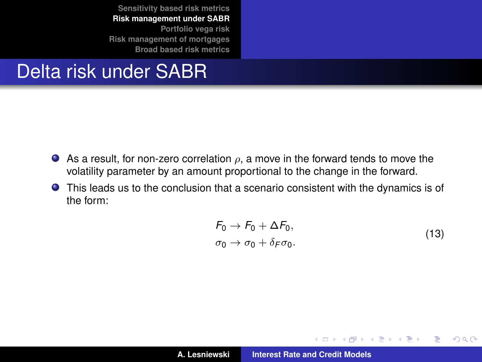#### Delta risk under SABR

- As a result, for non-zero correlation  $\rho$ , a move in the forward tends to move the volatility parameter by an amount proportional to the change in the forward.
- This leads us to the conclusion that a scenario consistent with the dynamics is of the form:

$$
F_0 \to F_0 + \Delta F_0,
$$
  
\n
$$
\sigma_0 \to \sigma_0 + \delta_F \sigma_0.
$$
\n(13)

イロメ イ部メ イ君メ イ君メー

 $299$ 

重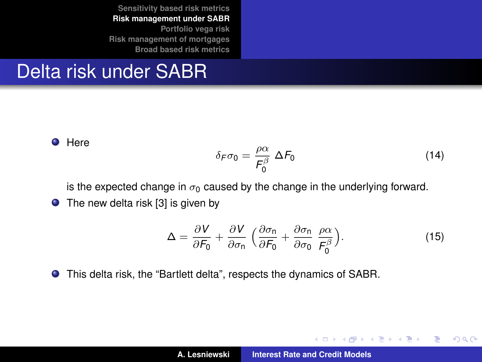#### Delta risk under SABR

**O** Here

$$
\delta_F \sigma_0 = \frac{\rho \alpha}{F_0^{\beta}} \Delta F_0 \tag{14}
$$

イロメ イ部メ イ君メ イ君メー

 $299$ 

重

is the expected change in  $\sigma_0$  caused by the change in the underlying forward.

 $\bullet$  The new delta risk [\[3\]](#page-56-2) is given by

$$
\Delta = \frac{\partial V}{\partial F_0} + \frac{\partial V}{\partial \sigma_n} \left( \frac{\partial \sigma_n}{\partial F_0} + \frac{\partial \sigma_n}{\partial \sigma_0} \frac{\rho \alpha}{F_0^{\beta}} \right).
$$
 (15)

This delta risk, the "Bartlett delta", respects the dynamics of SABR.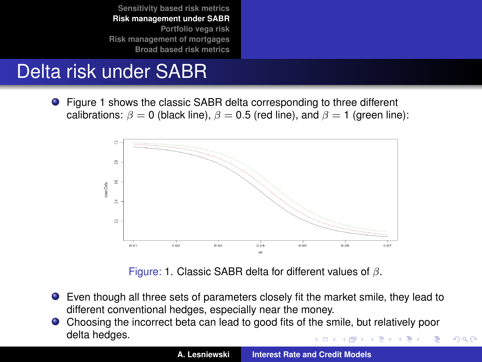# <span id="page-29-1"></span>Delta risk under SABR

● Figure [1](#page-29-0) shows the classic SABR delta corresponding to three different calibrations:  $\beta = 0$  (black line),  $\beta = 0.5$  (red line), and  $\beta = 1$  (green line):



<span id="page-29-0"></span>Figure: [1.](#page-29-0) Classic SABR delta for different values of  $\beta$ .

- Even though all three sets of parameters closely fit the market smile, they lead to different conventional hedges, especially near the money.
- Choosing the incorrect beta can lead to good fits of the smile, but relatively poor delta hedges.

 $2Q$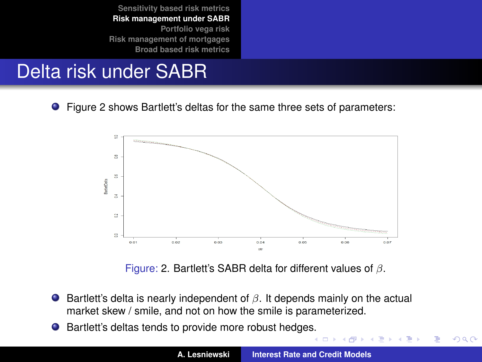# <span id="page-30-1"></span>Delta risk under SABR

Figure [2](#page-30-0) shows Bartlett's deltas for the same three sets of parameters:



<span id="page-30-0"></span>Figure: [2.](#page-30-0) Bartlett's SABR delta for different values of  $\beta$ .

- **Bartlett's delta is nearly independent of**  $\beta$ **. It depends mainly on the actual** market skew / smile, and not on how the smile is parameterized.
- Bartlett's deltas tends to provide more robust hedge[s.](#page-29-1)  $\bullet$

 $299$ 

重

(ロ) (個) (目) (目)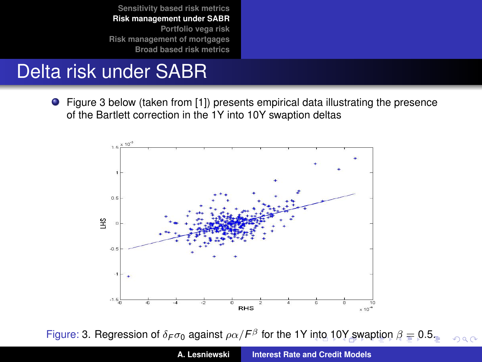## <span id="page-31-0"></span>Delta risk under SABR

Figure [3](#page-31-1) below (taken from [\[1\]](#page-56-3)) presents empirical data illustrating the presence of the Bartlett correction in the 1Y into 10Y swaption deltas



<span id="page-31-1"></span>Figure: [3.](#page-31-1) Regressi[o](#page-35-0)[n](#page-36-0) of  $\delta_F \sigma_0$  $\delta_F \sigma_0$  against  $\rho \alpha / F^{\beta}$  for the 1Y [into](#page-30-1) [10](#page-32-0)[Y](#page-30-1) [s](#page-31-0)[w](#page-32-0)[ap](#page-20-0)[ti](#page-21-0)on  $\beta \equiv$  0.[5.](#page-0-0)  $2Q$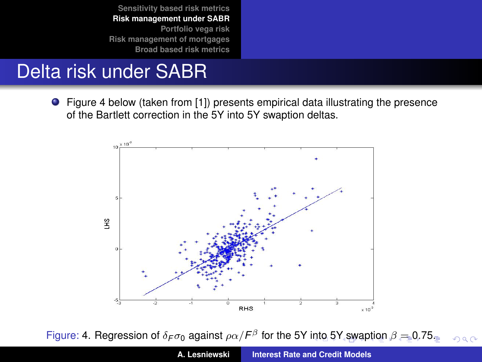## <span id="page-32-0"></span>Delta risk under SABR

Figure [4](#page-32-1) below (taken from [\[1\]](#page-56-3)) presents empirical data illustrating the presence of the Bartlett correction in the 5Y into 5Y swaption deltas.



<span id="page-32-1"></span>Figure: [4.](#page-32-1) Regressi[o](#page-21-0)[n](#page-35-0) of  $\delta_F \sigma_0$  $\delta_F \sigma_0$  $\delta_F \sigma_0$  $\delta_F \sigma_0$  against  $\rho \alpha / F^{\beta}$  for the 5Y [into](#page-31-0) [5](#page-33-0)[Y](#page-31-0) [sw](#page-32-0)a[pti](#page-20-0)on  $\beta = 0.75$  $\beta = 0.75$  $\beta = 0.75$ .  $2Q$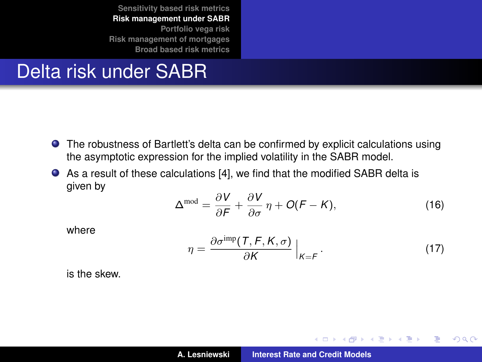#### <span id="page-33-0"></span>Delta risk under SABR

- The robustness of Bartlett's delta can be confirmed by explicit calculations using the asymptotic expression for the implied volatility in the SABR model.
- As a result of these calculations [\[4\]](#page-56-4), we find that the modified SABR delta is given by

$$
\Delta^{\text{mod}} = \frac{\partial V}{\partial F} + \frac{\partial V}{\partial \sigma} \eta + O(F - K), \tag{16}
$$

where

$$
\eta = \frac{\partial \sigma^{\text{imp}}(\mathcal{T}, \mathcal{F}, \mathcal{K}, \sigma)}{\partial \mathcal{K}}\Big|_{\mathcal{K} = \mathcal{F}}.\tag{17}
$$

イロメ イ部メ イ君メ イ君メー

 $299$ 

重

is the skew.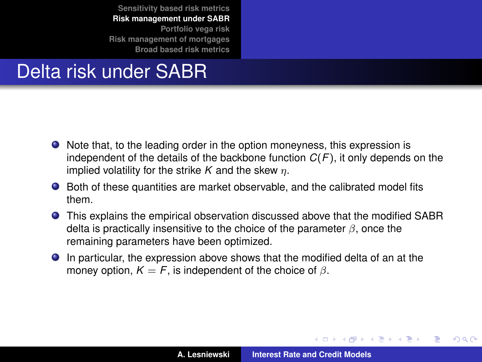# Delta risk under SABR

- Note that, to the leading order in the option moneyness, this expression is independent of the details of the backbone function *C*(*F*), it only depends on the implied volatility for the strike  $K$  and the skew  $\eta$ .
- Both of these quantities are market observable, and the calibrated model fits them.
- This explains the empirical observation discussed above that the modified SABR delta is practically insensitive to the choice of the parameter  $\beta$ , once the remaining parameters have been optimized.
- In particular, the expression above shows that the modified delta of an at the money option,  $K = F$ , is independent of the choice of  $\beta$ .

イロメ イ部メ イヨメ イヨメー

 $QQ$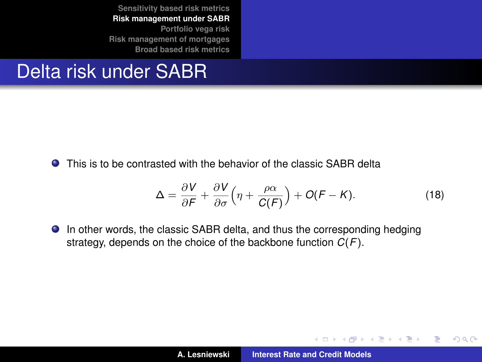#### <span id="page-35-0"></span>Delta risk under SABR

This is to be contrasted with the behavior of the classic SABR delta

$$
\Delta = \frac{\partial V}{\partial F} + \frac{\partial V}{\partial \sigma} \left( \eta + \frac{\rho \alpha}{C(F)} \right) + O(F - K). \tag{18}
$$

イロメ イ部メ イヨメ イヨメー

 $299$ È.

In other words, the classic SABR delta, and thus the corresponding hedging strategy, depends on the choice of the backbone function *C*(*F*).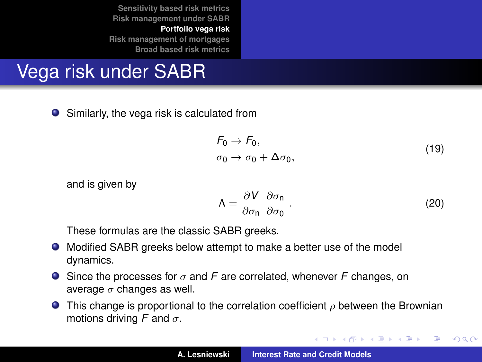**[Portfolio vega risk](#page-36-0) [Risk management of mortgages](#page-41-0) [Broad based risk metrics](#page-47-0)**

# <span id="page-36-0"></span>Vega risk under SABR

● Similarly, the vega risk is calculated from

$$
F_0 \to F_0,
$$
  
\n
$$
\sigma_0 \to \sigma_0 + \Delta \sigma_0,
$$
\n(19)

and is given by

$$
\Lambda = \frac{\partial V}{\partial \sigma_{\mathsf{n}}} \frac{\partial \sigma_{\mathsf{n}}}{\partial \sigma_{\mathsf{0}}} \,. \tag{20}
$$

イロメ イ団メ イヨメ イヨメー

 $299$ 

重

These formulas are the classic SABR greeks.

- Modified SABR greeks below attempt to make a better use of the model dynamics.
- Since the processes for σ and *F* are correlated, whenever *F* changes, on average  $\sigma$  changes as well.
- **This change is proportional to the correlation coefficient**  $\rho$  **between the Brownian** motions driving *F* and  $\sigma$ .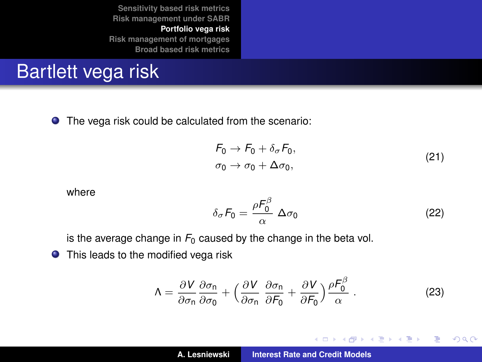**[Sensitivity based risk metrics](#page-6-0) [Risk management under SABR](#page-21-0) [Portfolio vega risk](#page-36-0) [Risk management of mortgages](#page-41-0)**

**[Broad based risk metrics](#page-47-0)**

# Bartlett vega risk

The vega risk could be calculated from the scenario:

$$
F_0 \to F_0 + \delta_\sigma F_0,
$$
  
\n
$$
\sigma_0 \to \sigma_0 + \Delta \sigma_0,
$$
\n(21)

where

$$
\delta_{\sigma} F_0 = \frac{\rho F_0^{\beta}}{\alpha} \Delta \sigma_0 \tag{22}
$$

イロメ イ部メ イ君メ イ君メー

 $299$ 

重

is the average change in  $F_0$  caused by the change in the beta vol.

**O** This leads to the modified vega risk

$$
\Lambda = \frac{\partial V}{\partial \sigma_{\mathsf{n}}} \frac{\partial \sigma_{\mathsf{n}}}{\partial \sigma_{\mathsf{0}}} + \left( \frac{\partial V}{\partial \sigma_{\mathsf{n}}} \frac{\partial \sigma_{\mathsf{n}}}{\partial F_{\mathsf{0}}} + \frac{\partial V}{\partial F_{\mathsf{0}}} \right) \frac{\rho F_{\mathsf{0}}^{\beta}}{\alpha} \,. \tag{23}
$$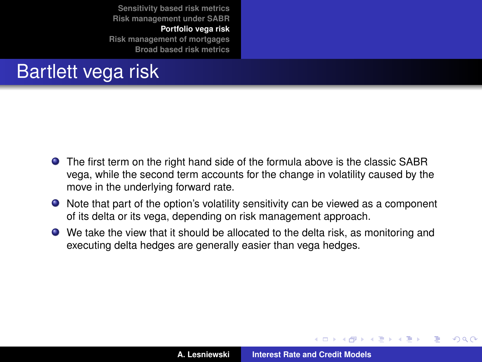**[Portfolio vega risk](#page-36-0) [Risk management of mortgages](#page-41-0) [Broad based risk metrics](#page-47-0)**

# Bartlett vega risk

- The first term on the right hand side of the formula above is the classic SABR vega, while the second term accounts for the change in volatility caused by the move in the underlying forward rate.
- Note that part of the option's volatility sensitivity can be viewed as a component of its delta or its vega, depending on risk management approach.
- We take the view that it should be allocated to the delta risk, as monitoring and executing delta hedges are generally easier than vega hedges.

K ロ ▶ K 御 ▶ K 唐 ▶ K 唐 ▶ .

 $QQ$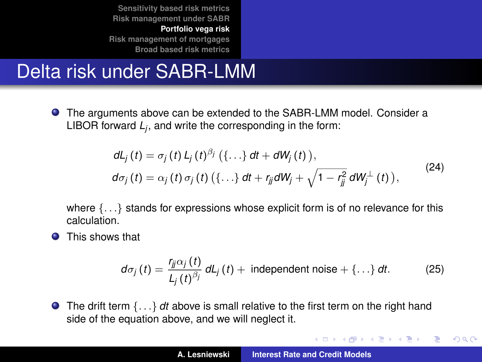**[Portfolio vega risk](#page-36-0) [Risk management of mortgages](#page-41-0) [Broad based risk metrics](#page-47-0)**

# Delta risk under SABR-LMM

The arguments above can be extended to the SABR-LMM model. Consider a LIBOR forward *L<sup>j</sup>* , and write the corresponding in the form:

$$
dL_j(t) = \sigma_j(t) L_j(t)^{\beta_j} (\{\dots\} dt + dW_j(t)),
$$
  
\n
$$
d\sigma_j(t) = \alpha_j(t) \sigma_j(t) (\{\dots\} dt + r_{ij} dW_j + \sqrt{1 - r_{jj}^2} dW_j^{\perp}(t)),
$$
\n(24)

where  $\{\ldots\}$  stands for expressions whose explicit form is of no relevance for this calculation.

**O** This shows that

$$
d\sigma_j(t) = \frac{r_{jj}\alpha_j(t)}{L_j(t)^{\beta_j}}\,dt_j(t) + \text{ independent noise} + \{\ldots\}\,dt. \tag{25}
$$

イロメ イ団メ イヨメ イヨメー

 $299$ 

重

● The drift term {...} *dt* above is small relative to the first term on the right hand side of the equation above, and we will neglect it.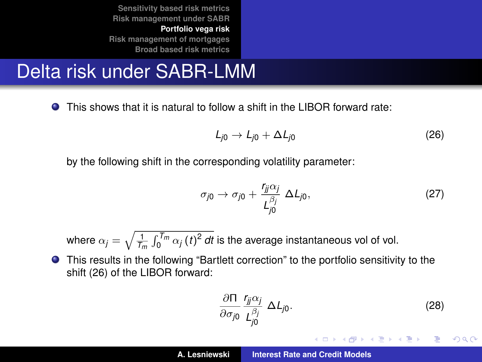**[Portfolio vega risk](#page-36-0) [Risk management of mortgages](#page-41-0) [Broad based risk metrics](#page-47-0)**

# Delta risk under SABR-LMM

This shows that it is natural to follow a shift in the LIBOR forward rate:  $\bullet$ 

<span id="page-40-0"></span>
$$
L_{j0} \to L_{j0} + \Delta L_{j0} \tag{26}
$$

by the following shift in the corresponding volatility parameter:

$$
\sigma_{j0} \to \sigma_{j0} + \frac{r_{jj}\alpha_j}{L_{j0}^{\beta_j}} \Delta L_{j0},\tag{27}
$$

where  $\alpha_j = \sqrt{\frac{1}{\mathcal{T}_m} \int_0^{\mathcal{T}_m} \alpha_j \left(t\right)^2 dt}$  is the average instantaneous vol of vol.

This results in the following "Bartlett correction" to the portfolio sensitivity to the shift [\(26\)](#page-40-0) of the LIBOR forward:

$$
\frac{\partial \Pi}{\partial \sigma_{j0}} \frac{r_{jj} \alpha_j}{L_{j0}^{\beta_j}} \Delta L_{j0}.
$$
 (28)

イロメ イ部メ イ君メ イ君メー

言い  $2Q$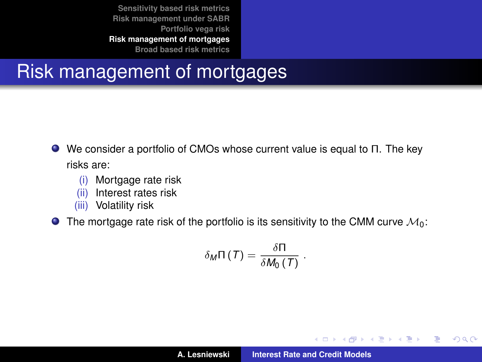#### <span id="page-41-0"></span>Risk management of mortgages

- We consider a portfolio of CMOs whose current value is equal to Π. The key risks are:
	- (i) Mortgage rate risk
	- (ii) Interest rates risk
	- (iii) Volatility risk

 $\bullet$  The mortgage rate risk of the portfolio is its sensitivity to the CMM curve  $\mathcal{M}_0$ :

$$
\delta_M \Pi(T) = \frac{\delta \Pi}{\delta M_0(T)}.
$$

イロメ イ部メ イ君メ イ君メー

 $299$ 

重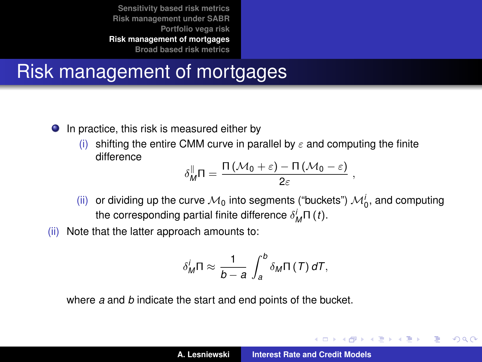## Risk management of mortgages

- In practice, this risk is measured either by
	- (i) shifting the entire CMM curve in parallel by  $\varepsilon$  and computing the finite difference

$$
\delta_M^{\parallel}\Pi=\frac{\Pi(\mathcal{M}_0+\varepsilon)-\Pi(\mathcal{M}_0-\varepsilon)}{2\varepsilon}\;,
$$

- (ii) or dividing up the curve  $\mathcal{M}_0$  into segments ("buckets")  $\mathcal{M}_0^i$ , and computing the corresponding partial finite difference  $\delta^i_M \Pi$  (*t*).
- (ii) Note that the latter approach amounts to:

$$
\delta_M^i \Pi \approx \frac{1}{b-a} \int_a^b \delta_M \Pi(T) dT,
$$

where *a* and *b* indicate the start and end points of the bucket.

イロメ イ部メ イヨメ イヨメー

Þ  $2Q$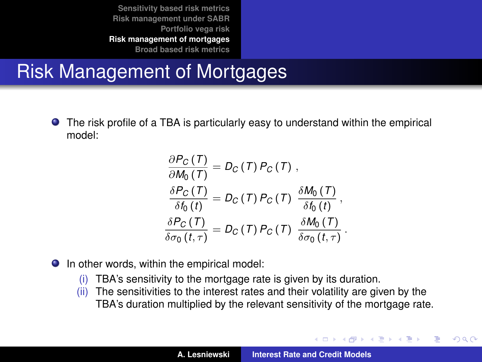# Risk Management of Mortgages

The risk profile of a TBA is particularly easy to understand within the empirical model:

$$
\frac{\partial P_C(T)}{\partial M_0(T)} = D_C(T) P_C(T),
$$
\n
$$
\frac{\delta P_C(T)}{\delta f_0(t)} = D_C(T) P_C(T) \frac{\delta M_0(T)}{\delta f_0(t)},
$$
\n
$$
\frac{\delta P_C(T)}{\delta \sigma_0(t, \tau)} = D_C(T) P_C(T) \frac{\delta M_0(T)}{\delta \sigma_0(t, \tau)}.
$$

- **O** In other words, within the empirical model:
	- (i) TBA's sensitivity to the mortgage rate is given by its duration.
	- (ii) The sensitivities to the interest rates and their volatility are given by the TBA's duration multiplied by the relevant sensitivity of the mortgage rate.

イロメ イ部メ イヨメ イヨメー

Þ

 $QQQ$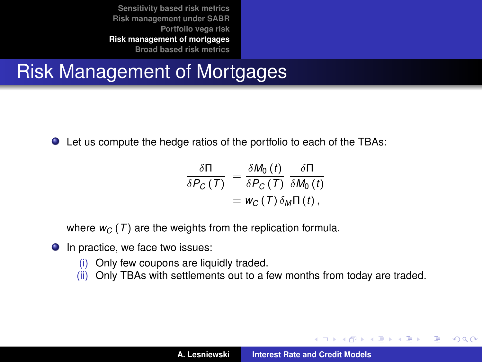## Risk Management of Mortgages

Let us compute the hedge ratios of the portfolio to each of the TBAs:

$$
\frac{\delta \Pi}{\delta P_C(T)} = \frac{\delta M_0(t)}{\delta P_C(T)} \frac{\delta \Pi}{\delta M_0(t)} \n= w_C(T) \delta_M \Pi(t),
$$

where  $w_C(T)$  are the weights from the replication formula.

- $\bullet$  In practice, we face two issues:
	- (i) Only few coupons are liquidly traded.
	- (ii) Only TBAs with settlements out to a few months from today are traded.

イロメ イ部メ イヨメ イヨメー

Þ  $2Q$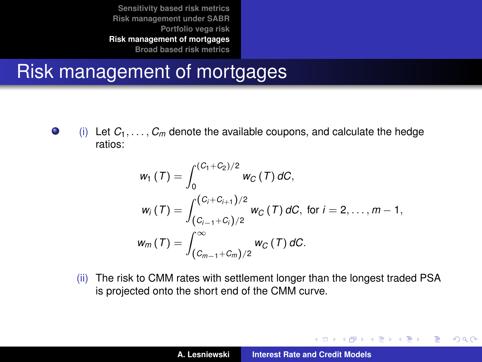#### Risk management of mortgages

 $\bullet$ (i) Let  $C_1, \ldots, C_m$  denote the available coupons, and calculate the hedge ratios:

$$
w_1(T) = \int_0^{(C_1+C_2)/2} w_C(T) dC,
$$
  
\n
$$
w_i(T) = \int_{(C_{i-1}+C_i)/2}^{(C_i+C_{i+1})/2} w_C(T) dC, \text{ for } i = 2,..., m-1,
$$
  
\n
$$
w_m(T) = \int_{(C_{m-1}+C_m)/2}^{\infty} w_C(T) dC.
$$

(ii) The risk to CMM rates with settlement longer than the longest traded PSA is projected onto the short end of the CMM curve.

イロメ イ団メ イヨメ イヨメー

 $299$ 

重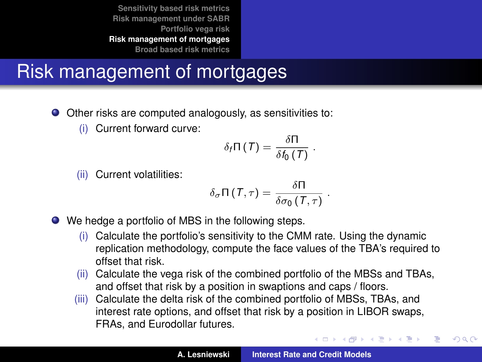# Risk management of mortgages

- Other risks are computed analogously, as sensitivities to:
	- (i) Current forward curve:

$$
\delta_{f} \Pi(T) = \frac{\delta \Pi}{\delta f_{0}(T)}
$$

.

K ロ ▶ K 御 ▶ K 唐 ▶ K 唐 ▶ .

 $2Q$ 

(ii) Current volatilities:

$$
\delta_\sigma \Pi(T,\tau) = \frac{\delta \Pi}{\delta \sigma_0(T,\tau)} \; .
$$

- We hedge a portfolio of MBS in the following steps.
	- (i) Calculate the portfolio's sensitivity to the CMM rate. Using the dynamic replication methodology, compute the face values of the TBA's required to offset that risk.
	- (ii) Calculate the vega risk of the combined portfolio of the MBSs and TBAs, and offset that risk by a position in swaptions and caps / floors.
	- (iii) Calculate the delta risk of the combined portfolio of MBSs, TBAs, and interest rate options, and offset that risk by a position in LIBOR swaps, FRAs, and Eurodollar futures.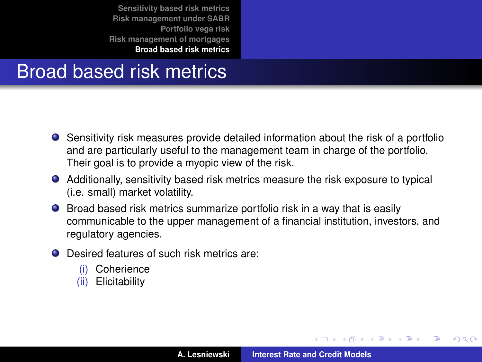#### <span id="page-47-0"></span>Broad based risk metrics

- Sensitivity risk measures provide detailed information about the risk of a portfolio and are particularly useful to the management team in charge of the portfolio. Their goal is to provide a myopic view of the risk.
- Additionally, sensitivity based risk metrics measure the risk exposure to typical (i.e. small) market volatility.
- Broad based risk metrics summarize portfolio risk in a way that is easily communicable to the upper management of a financial institution, investors, and regulatory agencies.
- Desired features of such risk metrics are:
	- (i) Coherience
	- (ii) Elicitability

イロメ イ部メ イ君メ イ君メー

 $299$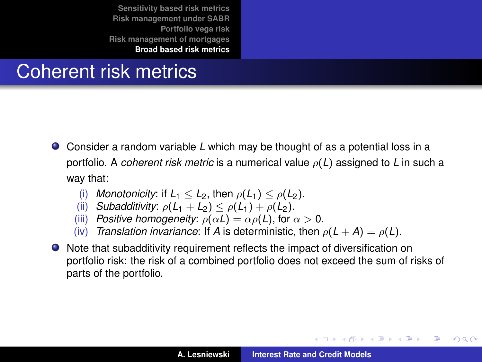#### Coherent risk metrics

- Consider a random variable *L* which may be thought of as a potential loss in a portfolio. A *coherent risk metric* is a numerical value ρ(*L*) assigned to *L* in such a way that:
	- (i) *Monotonicity*: if  $L_1 < L_2$ , then  $\rho(L_1) < \rho(L_2)$ .
	- (ii) *Subadditivity:*  $\rho(L_1 + L_2) \leq \rho(L_1) + \rho(L_2)$ .
	- (iii) *Positive homogeneity:*  $\rho(\alpha L) = \alpha \rho(L)$ , for  $\alpha > 0$ .
	- (iv) *Translation invariance*: If *A* is deterministic, then  $\rho(L+A) = \rho(L)$ .
- Note that subadditivity requirement reflects the impact of diversification on portfolio risk: the risk of a combined portfolio does not exceed the sum of risks of parts of the portfolio.

イロメ イ部メ イ君メ イ君メー

Þ

 $298$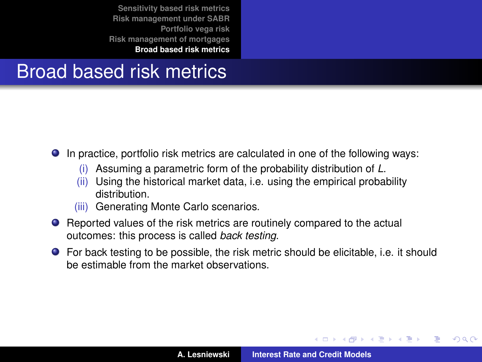#### Broad based risk metrics

In practice, portfolio risk metrics are calculated in one of the following ways:

- (i) Assuming a parametric form of the probability distribution of *L*.
- (ii) Using the historical market data, i.e. using the empirical probability distribution.
- (iii) Generating Monte Carlo scenarios.
- Reported values of the risk metrics are routinely compared to the actual outcomes: this process is called *back testing*.
- For back testing to be possible, the risk metric should be elicitable, i.e. it should be estimable from the market observations.

(ロトス個) (運) (運)

 $QQ$ 

Ξ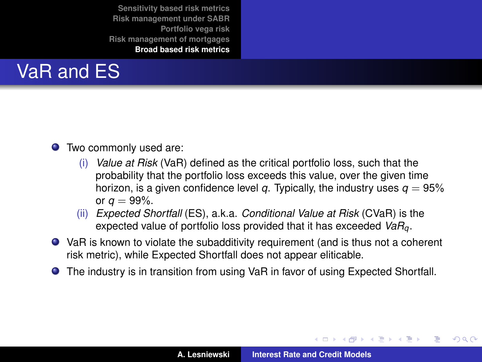

- Two commonly used are:
	- (i) *Value at Risk* (VaR) defined as the critical portfolio loss, such that the probability that the portfolio loss exceeds this value, over the given time horizon, is a given confidence level *q*. Typically, the industry uses  $q = 95\%$ or  $a = 99\%$ .
	- (ii) *Expected Shortfall* (ES), a.k.a. *Conditional Value at Risk* (CVaR) is the expected value of portfolio loss provided that it has exceeded *VaRq*.
- VaR is known to violate the subadditivity requirement (and is thus not a coherent risk metric), while Expected Shortfall does not appear eliticable.
- The industry is in transition from using VaR in favor of using Expected Shortfall.

K ロ ▶ K 御 ▶ K 唐 ▶ K 唐 ▶ .

 $299$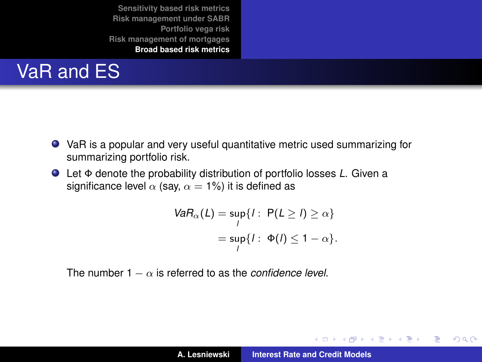# VaR and ES

- VaR is a popular and very useful quantitative metric used summarizing for summarizing portfolio risk.
- Let Φ denote the probability distribution of portfolio losses *L*. Given a significance level  $\alpha$  (say,  $\alpha = 1\%$ ) it is defined as

$$
VaR_{\alpha}(L) = \sup_{l} \{ l : P(L \ge l) \ge \alpha \}
$$

$$
= \sup_{l} \{ l : \Phi(l) \le 1 - \alpha \}.
$$

The number  $1 - \alpha$  is referred to as the *confidence level*.

イロメ イ部メ イヨメ イヨメー

 $299$ È.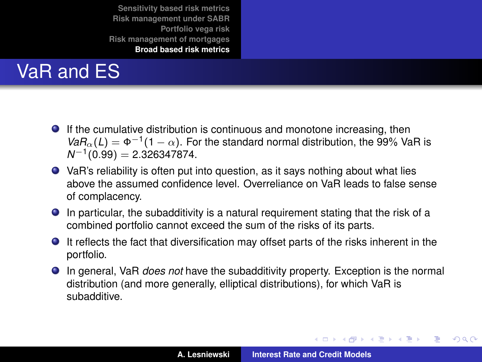# VaR and ES

- If the cumulative distribution is continuous and monotone increasing, then  $VaR_\alpha(L) = \Phi^{-1}(1-\alpha)$ . For the standard normal distribution, the 99% VaR is *N*<sup>−1</sup>(0.99) = 2.326347874.
- VaR's reliability is often put into question, as it says nothing about what lies above the assumed confidence level. Overreliance on VaR leads to false sense of complacency.
- In particular, the subadditivity is a natural requirement stating that the risk of a combined portfolio cannot exceed the sum of the risks of its parts.
- It reflects the fact that diversification may offset parts of the risks inherent in the portfolio.
- In general, VaR *does not* have the subadditivity property. Exception is the normal distribution (and more generally, elliptical distributions), for which VaR is subadditive.

イロメ イ団メ イヨメ イヨメー

 $QQ$ 

÷.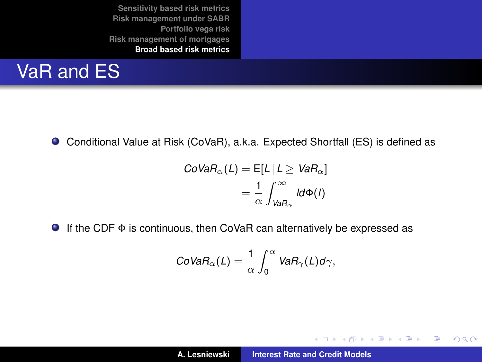## VaR and ES

Conditional Value at Risk (CoVaR), a.k.a. Expected Shortfall (ES) is defined as

$$
CoVaR_{\alpha}(L) = E[L | L \ge VaR_{\alpha}]
$$

$$
= \frac{1}{\alpha} \int_{VaR_{\alpha}}^{\infty} l d\Phi(l)
$$

If the CDF Φ is continuous, then CoVaR can alternatively be expressed as

$$
CoVaR_{\alpha}(L)=\frac{1}{\alpha}\int_0^{\alpha} VaR_{\gamma}(L)d\gamma,
$$

イロメ イ部メ イヨメ イヨメー

 $299$ 

重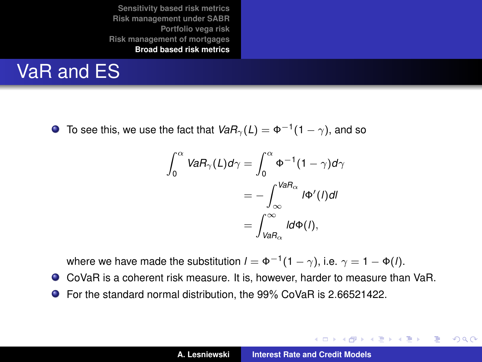## VaR and ES

To see this, we use the fact that  $\mathit{VaR}_{\gamma}(L)=\Phi^{-1}(1-\gamma),$  and so

$$
\int_0^\alpha VaR_\gamma(L)d\gamma = \int_0^\alpha \Phi^{-1}(1-\gamma)d\gamma
$$

$$
= -\int_{\infty} VaR_\alpha} l\Phi'(l)dl
$$

$$
= \int_{VaR_\alpha} \frac{Q}{l}\Phi(l),
$$

where we have made the substitution  $l=\Phi^{-1}(1-\gamma)$ , i.e.  $\gamma=1-\Phi(l).$ 

- CoVaR is a coherent risk measure. It is, however, harder to measure than VaR.
- For the standard normal distribution, the 99% CoVaR is 2.66521422.

K ロ ⊁ K 伊 ⊁ K 君 ⊁ K 君 ⊁ …

 $2990$ 造っ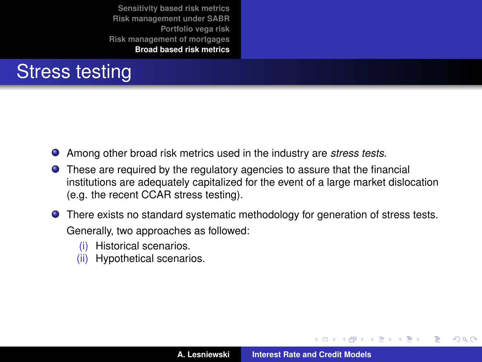#### Stress testing

- Among other broad risk metrics used in the industry are *stress tests*.
- These are required by the regulatory agencies to assure that the financial institutions are adequately capitalized for the event of a large market dislocation (e.g. the recent CCAR stress testing).
- There exists no standard systematic methodology for generation of stress tests. Generally, two approaches as followed:
	- (i) Historical scenarios.
	- (ii) Hypothetical scenarios.

K ロ ▶ K 御 ▶ K 唐 ▶ K 唐 ▶ .

 $299$